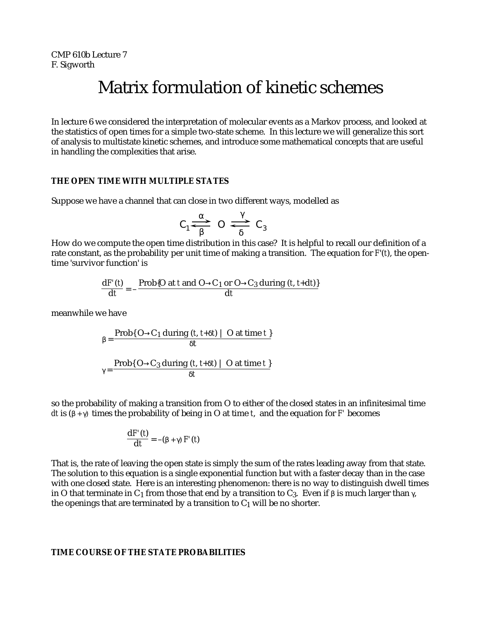CMP 610b Lecture 7 F. Sigworth

# Matrix formulation of kinetic schemes

In lecture 6 we considered the interpretation of molecular events as a Markov process, and looked at the statistics of open times for a simple two-state scheme. In this lecture we will generalize this sort of analysis to multistate kinetic schemes, and introduce some mathematical concepts that are useful in handling the complexities that arise.

# **THE OPEN TIME WITH MULTIPLE STATES**

Suppose we have a channel that can close in two different ways, modelled as

$$
c_1 \rightleftarrows 0 \rightleftarrows c_3
$$

How do we compute the open time distribution in this case? It is helpful to recall our definition of a rate constant, as the probability per unit time of making a transition. The equation for *F*'(*t*), the opentime 'survivor function' is

$$
\frac{dF'(t)}{dt} = -\frac{Prob{O at t and O \quad C_1 or O \quad C_3 during (t, t+dt)}{dt}
$$

meanwhile we have

$$
= \frac{\text{Prob}\{O \quad C_1 \text{ during } (t, t+ t) \mid O \text{ at time } t\}}{t}
$$

$$
= \frac{\text{Prob}\{O \quad C_3 \text{ during } (t, t+ t) \mid O \text{ at time } t\}}{t}
$$

so the probability of making a transition from O to either of the closed states in an infinitesimal time *dt* is ( + ) times the probability of being in O at time *t*, and the equation for *F'* becomes

$$
\frac{\mathrm{d}F'(t)}{\mathrm{d}t} = -(\phantom{x} + \phantom{x})F'(t)
$$

That is, the rate of leaving the open state is simply the sum of the rates leading away from that state. The solution to this equation is a single exponential function but with a faster decay than in the case with one closed state. Here is an interesting phenomenon: there is no way to distinguish dwell times in O that terminate in C<sub>1</sub> from those that end by a transition to C<sub>3</sub>. Even if is much larger than, the openings that are terminated by a transition to  $C_1$  will be no shorter.

## **TIME COURSE OF THE STATE PROBABILITIES**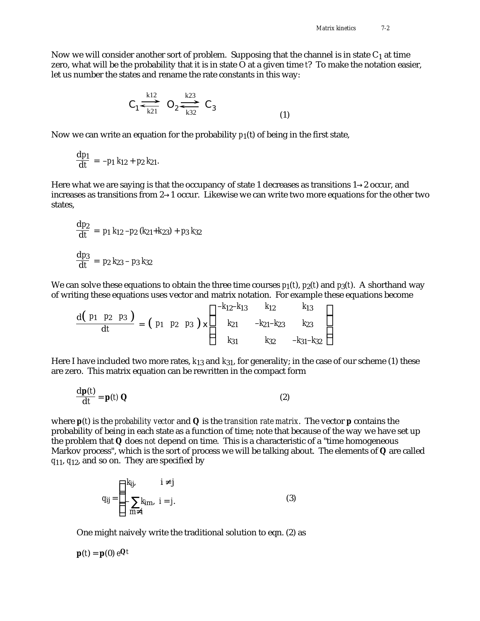Now we will consider another sort of problem. Supposing that the channel is in state  $C_1$  at time zero, what will be the probability that it is in state O at a given time *t*? To make the notation easier, let us number the states and rename the rate constants in this way:

$$
C_1 \stackrel{k12}{\longrightarrow} O_2 \stackrel{k23}{\longrightarrow} C_3
$$
 (1)

Now we can write an equation for the probability  $p_1(t)$  of being in the first state,

$$
\frac{\mathrm{d}p_1}{\mathrm{d}t} = -p_1 \ k_{12} + p_2 \ k_{21}.
$$

Here what we are saying is that the occupancy of state 1 decreases as transitions 1 2 occur, and increases as transitions from 2 1 occur. Likewise we can write two more equations for the other two states,

$$
\frac{dp_2}{dt} = p_1 k_{12} - p_2 (k_{21} + k_{23}) + p_3 k_{32}
$$
  

$$
\frac{dp_3}{dt} = p_2 k_{23} - p_3 k_{32}
$$

We can solve these equations to obtain the three time courses  $p_1(t)$ ,  $p_2(t)$  and  $p_3(t)$ . A shorthand way of writing these equations uses vector and matrix notation. For example these equations become

$$
\frac{d(p_1 \ p_2 \ p_3)}{dt} = (p_1 \ p_2 \ p_3) \times k_{21} \n-k_{12-k_{23}} \nk_{23} \nk_{31} \nk_{32} -k_{31-k_{32}}
$$

Here I have included two more rates, *k*13 and *k*31, for generality; in the case of our scheme (1) these are zero. This matrix equation can be rewritten in the compact form

$$
\frac{\mathbf{dp}(t)}{\mathbf{dt}} = \mathbf{p}(t) \mathbf{Q} \tag{2}
$$

where **p**(*t*) is the *probability vector* and **Q** is the *transition rate matrix*. The vector **p** contains the probability of being in each state as a function of time; note that because of the way we have set up the problem that **Q** does *not* depend on time. This is a characteristic of a "time homogeneous Markov process", which is the sort of process we will be talking about. The elements of **Q** are called *q*11, *q*12, and so on. They are specified by

$$
q_{ij} = \begin{cases} k_{ij}, & i \ j \\ m, & i = j. \end{cases}
$$
 (3)

One might naively write the traditional solution to eqn. (2) as

 $\mathbf{p}(t) = \mathbf{p}(0) e^{\mathbf{Q}t}$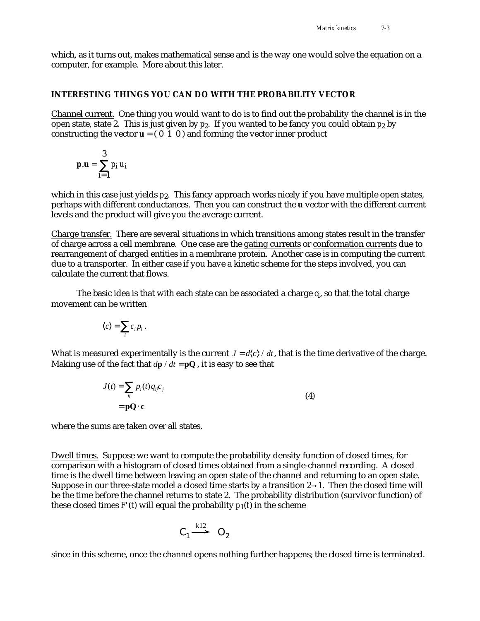which, as it turns out, makes mathematical sense and is the way one would solve the equation on a computer, for example. More about this later.

## **INTERESTING THINGS YOU CAN DO WITH THE PROBABILITY VECTOR**

Channel current. One thing you would want to do is to find out the probability the channel is in the open state, state 2. This is just given by *p*2. If you wanted to be fancy you could obtain *p*2 by constructing the vector  $\mathbf{u} = (0 \ 1 \ 0)$  and forming the vector inner product

$$
\mathbf{p}.\mathbf{u} = \begin{cases} 3 \\ p_i \, u_i \\ i = 1 \end{cases}
$$

 $\sim$ 

which in this case just yields  $p_2$ . This fancy approach works nicely if you have multiple open states, perhaps with different conductances. Then you can construct the **u** vector with the different current levels and the product will give you the average current.

Charge transfer. There are several situations in which transitions among states result in the transfer of charge across a cell membrane. One case are the gating currents or conformation currents due to rearrangement of charged entities in a membrane protein. Another case is in computing the current due to a transporter. In either case if you have a kinetic scheme for the steps involved, you can calculate the current that flows.

The basic idea is that with each state can be associated a charge *ci* , so that the total charge movement can be written

$$
\langle c \rangle = c_i p_i.
$$

What is measured experimentally is the current  $J = d\langle c \rangle / dt$ , that is the time derivative of the charge. Making use of the fact that  $d\mathbf{p} / dt = \mathbf{pQ}$ , it is easy to see that

$$
J(t) = p_i(t)q_{ij}c_j
$$
  
= **pQ c** (4)

where the sums are taken over all states.

Dwell times. Suppose we want to compute the probability density function of closed times, for comparison with a histogram of closed times obtained from a single-channel recording. A closed time is the dwell time between leaving an open state of the channel and returning to an open state. Suppose in our three-state model a closed time starts by a transition 2 1. Then the closed time will be the time before the channel returns to state 2. The probability distribution (survivor function) of these closed times  $F'(t)$  will equal the probability  $p_1(t)$  in the scheme

$$
C_1 \stackrel{k12}{\longrightarrow} O_2
$$

since in this scheme, once the channel opens nothing further happens; the closed time is terminated.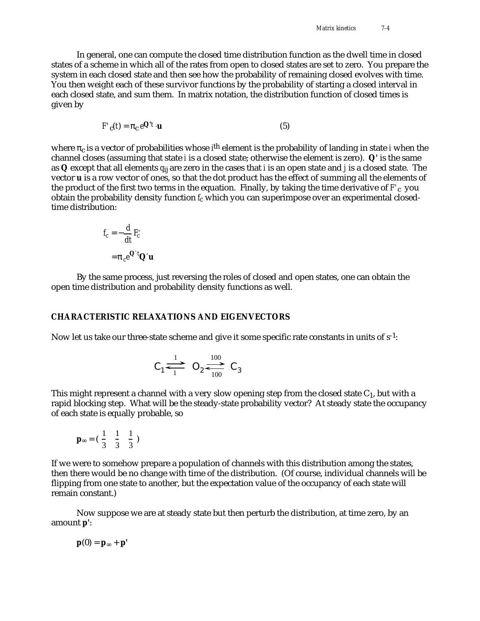In general, one can compute the closed time distribution function as the dwell time in closed states of a scheme in which all of the rates from open to closed states are set to zero. You prepare the system in each closed state and then see how the probability of remaining closed evolves with time. You then weight each of these survivor functions by the probability of starting a closed interval in each closed state, and sum them. In matrix notation, the distribution function of closed times is given by

$$
F'_{c}(t) = c e^{\mathbf{Q}'t} \cdot \mathbf{u}
$$
 (5)

where  $\;$  <sub>c</sub> is a vector of probabilities whose *i*<sup>th</sup> element is the probability of landing in state *i* when the channel closes (assuming that state *i* is a closed state; otherwise the element is zero). **Q'** is the same as **Q** except that all elements *q*ij are zero in the cases that *i* is an open state and *j* is a closed state. The vector **u** is a row vector of ones, so that the dot product has the effect of summing all the elements of the product of the first two terms in the equation. Finally, by taking the time derivative of *F'*c you obtain the probability density function *fc* which you can superimpose over an experimental closedtime distribution:

$$
f_c = -\frac{d}{dt} F_c
$$

$$
= c e^{Q t} Q u
$$

By the same process, just reversing the roles of closed and open states, one can obtain the open time distribution and probability density functions as well.

#### **CHARACTERISTIC RELAXATIONS AND EIGENVECTORS**

Now let us take our three-state scheme and give it some specific rate constants in units of  $s<sup>-1</sup>$ :

$$
C_1 \stackrel{1}{\iff} O_2 \stackrel{100}{\iff} C_3
$$

This might represent a channel with a very slow opening step from the closed state  $C_1$ , but with a rapid blocking step. What will be the steady-state probability vector? At steady state the occupancy of each state is equally probable, so

$$
\mathbf{p} = \begin{pmatrix} \frac{1}{3} & \frac{1}{3} & \frac{1}{3} \end{pmatrix}
$$

If we were to somehow prepare a population of channels with this distribution among the states, then there would be no change with time of the distribution. (Of course, individual channels will be flipping from one state to another, but the expectation value of the occupancy of each state will remain constant.)

Now suppose we are at steady state but then perturb the distribution, at time zero, by an amount **p'**:

 $p(0) = p + p'$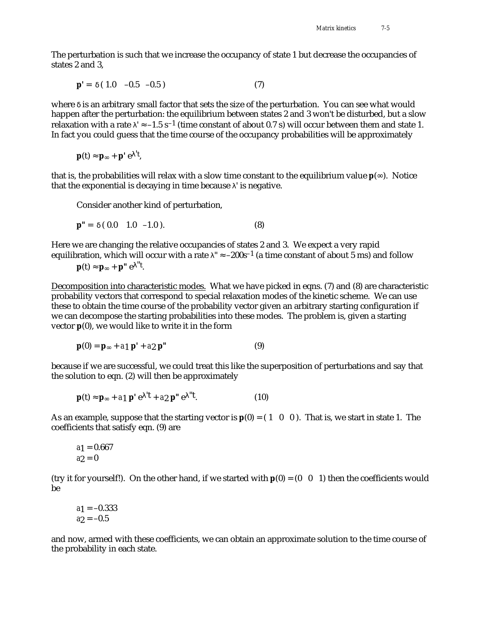The perturbation is such that we increase the occupancy of state 1 but decrease the occupancies of states 2 and 3,

$$
\mathbf{p}' = (1.0 -0.5 -0.5) \tag{7}
$$

where is an arbitrary small factor that sets the size of the perturbation. You can see what would happen after the perturbation: the equilibrium between states 2 and 3 won't be disturbed, but a slow relaxation with a rate  $\vert$  –1.5 s<sup>-1</sup> (time constant of about 0.7 s) will occur between them and state 1. In fact you could guess that the time course of the occupancy probabilities will be approximately

$$
\mathbf{p}(t) \quad \mathbf{p} \quad + \mathbf{p}' \, e \quad 't,
$$

that is, the probabilities will relax with a slow time constant to the equilibrium value **p**( ). Notice that the exponential is decaying in time because ' is negative.

Consider another kind of perturbation,

$$
\mathbf{p}'' = (0.0 \quad 1.0 \quad -1.0). \tag{8}
$$

Here we are changing the relative occupancies of states 2 and 3. We expect a very rapid equilibration, which will occur with a rate  $" -200s^{-1}$  (a time constant of about 5 ms) and follow

**p**(t) **p** + **p**" e  $\mathrm{H}^{\mathrm{t}}$ .

Decomposition into characteristic modes.What we have picked in eqns. (7) and (8) are characteristic probability vectors that correspond to special relaxation modes of the kinetic scheme. We can use these to obtain the time course of the probability vector given an arbitrary starting configuration if we can decompose the starting probabilities into these modes. The problem is, given a starting vector **p**(0), we would like to write it in the form

$$
\mathbf{p}(0) = \mathbf{p} + a_1 \mathbf{p}' + a_2 \mathbf{p}''
$$
 (9)

because if we are successful, we could treat this like the superposition of perturbations and say that the solution to eqn. (2) will then be approximately

$$
\mathbf{p}(t) \quad \mathbf{p} \quad + a_1 \, \mathbf{p}' \, \mathbf{e} \, \mathbf{d}' + a_2 \, \mathbf{p}'' \, \mathbf{e} \, \mathbf{d}'.
$$

As an example, suppose that the starting vector is  $p(0) = (1 \ 0 \ 0)$ . That is, we start in state 1. The coefficients that satisfy eqn. (9) are

$$
a_1 = 0.667
$$
  

$$
a_2 = 0
$$

(try it for yourself!). On the other hand, if we started with  $p(0) = (0 \ 0 \ 1)$  then the coefficients would be

$$
a_1 = -0.333
$$
  

$$
a_2 = -0.5
$$

and now, armed with these coefficients, we can obtain an approximate solution to the time course of the probability in each state.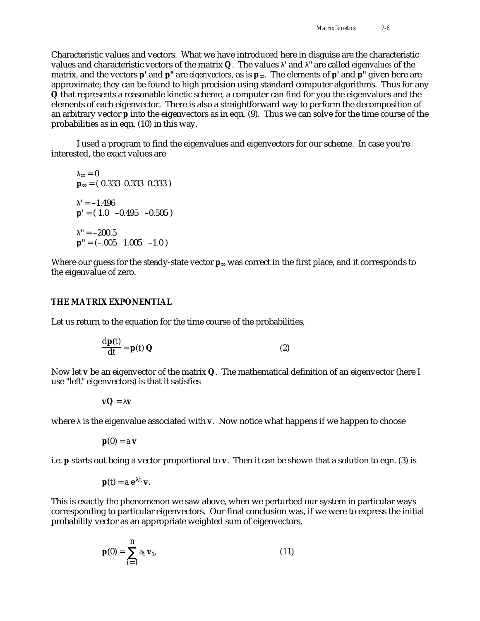Characteristic values and vectors. What we have introduced here in disguise are the characteristic values and characteristic vectors of the matrix **Q**. The values ' and " are called *eigenvalues* of the matrix, and the vectors **p'** and **p"** are *eigenvectors*, as is **p** . The elements of **p'** and **p"** given here are approximate; they can be found to high precision using standard computer algorithms. Thus for any **Q** that represents a reasonable kinetic scheme, a computer can find for you the eigenvalues and the elements of each eigenvector. There is also a straightforward way to perform the decomposition of an arbitrary vector **p** into the eigenvectors as in eqn. (9). Thus we can solve for the time course of the probabilities as in eqn. (10) in this way.

I used a program to find the eigenvalues and eigenvectors for our scheme. In case you're interested, the exact values are

 $= 0$ **p** = ( 0.333 0.333 0.333 )  $' = -1.496$  $p' = (1.0 -0.495 -0.505)$  $" = -200.5"$  $p'' = (-.005 \space 1.005 \space -1.0)$ 

Where our guess for the steady-state vector **p** was correct in the first place, and it corresponds to the eigenvalue of zero.

### **THE MATRIX EXPONENTIAL**

Let us return to the equation for the time course of the probabilities,

$$
\frac{\mathbf{dp}(t)}{\mathbf{dt}} = \mathbf{p}(t) \mathbf{Q} \tag{2}
$$

Now let **v** be an eigenvector of the matrix **Q**. The mathematical definition of an eigenvector (here I use "left" eigenvectors) is that it satisfies

**vQ** = **v**

where is the eigenvalue associated with **v**. Now notice what happens if we happen to choose

$$
\mathbf{p}(0) = a \mathbf{v}
$$

i.e. **p** starts out being a vector proportional to **v**. Then it can be shown that a solution to eqn. (3) is

$$
\mathbf{p}(\mathbf{t}) = a e^{-t} \mathbf{v}.
$$

This is exactly the phenomenon we saw above, when we perturbed our system in particular ways corresponding to particular eigenvectors. Our final conclusion was, if we were to express the initial probability vector as an appropriate weighted sum of eigenvectors,

$$
\mathbf{p}(0) = \begin{cases} n \\ a_i \mathbf{v}_i, \\ i = 1 \end{cases}
$$
 (11)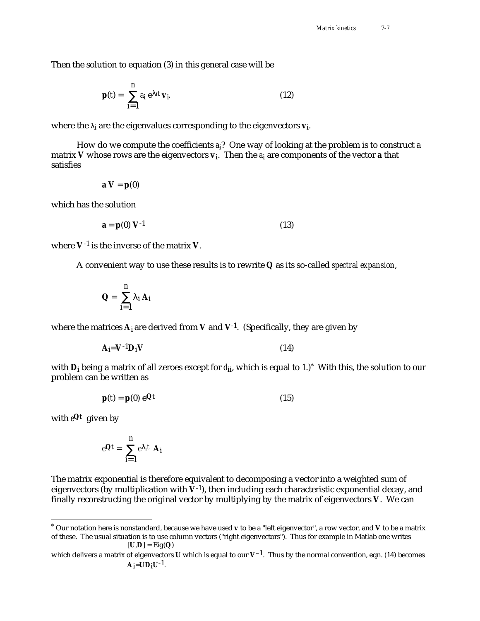Then the solution to equation (3) in this general case will be

$$
\mathbf{p}(t) = \begin{array}{c} n \\ a_i e^{it} \mathbf{v}_i \end{array}
$$
 (12)

where the <sub>i</sub> are the eigenvalues corresponding to the eigenvectors **v**<sub>i</sub>.

How do we compute the coefficients *a*i? One way of looking at the problem is to construct a matrix **V** whose rows are the eigenvectors **v**i . Then the *a*i are components of the vector **a** that satisfies

$$
\mathbf{a}\ \mathbf{V}=\mathbf{p}(0)
$$

which has the solution

$$
\mathbf{a} = \mathbf{p}(0) \ \mathbf{V}^{-1} \tag{13}
$$

where **V**-1 is the inverse of the matrix **V**.

A convenient way to use these results is to rewrite **Q** as its so-called *spectral expansion*,

$$
Q = \begin{array}{cc} n \\ i & A_i \end{array}
$$

where the matrices  $A_i$  are derived from V and  $V^{-1}$ . (Specifically, they are given by

$$
A_i = V^{-1}D_iV
$$
 (14)

with **D**i being a matrix of all zeroes except for *d*ii, which is equal to 1.)\* With this, the solution to our problem can be written as

$$
\mathbf{p}(t) = \mathbf{p}(0) e^{\mathbf{Q}t} \tag{15}
$$

with *e***Q***t* given by

$$
e^{\mathbf{Q}t} = \begin{array}{c} n \\ e \text{ if } \mathbf{A}_i \\ i=1 \end{array}
$$

The matrix exponential is therefore equivalent to decomposing a vector into a weighted sum of eigenvectors (by multiplication with  $V^{-1}$ ), then including each characteristic exponential decay, and finally reconstructing the original vector by multiplying by the matrix of eigenvectors **V**. We can

<sup>\*</sup> Our notation here is nonstandard, because we have used **v** to be a "left eigenvector", a row vector, and **V** to be a matrix of these. The usual situation is to use column vectors ("right eigenvectors"). Thus for example in Matlab one writes  $[U,D] = \text{Eig}(Q)$ 

which delivers a matrix of eigenvectors **U** which is equal to our **V**–1. Thus by the normal convention, eqn. (14) becomes  $A_i = UD_iU^{-1}$ .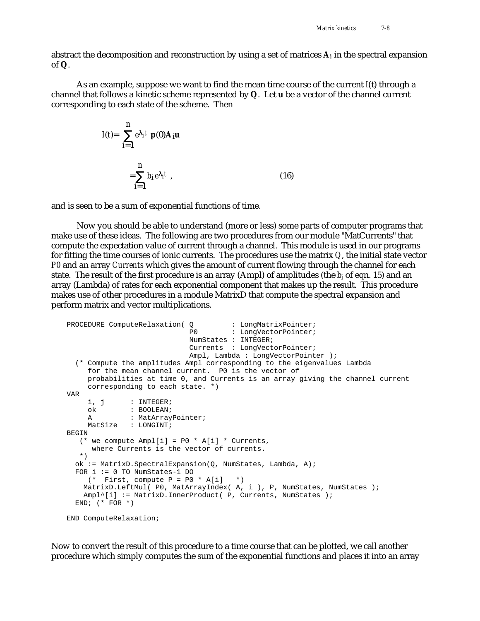abstract the decomposition and reconstruction by using a set of matrices **A**i in the spectral expansion of **Q**.

As an example, suppose we want to find the mean time course of the current *I*(t) through a channel that follows a kinetic scheme represented by **Q**. Let **u** be a vector of the channel current corresponding to each state of the scheme. Then

$$
I(t)=\begin{cases}\nn\\
i=1\n\end{cases}
$$
\n
$$
= \begin{cases}\nn\\
b_i e_i t, \\
i=1\n\end{cases}
$$
\n(16)

and is seen to be a sum of exponential functions of time.

Now you should be able to understand (more or less) some parts of computer programs that make use of these ideas. The following are two procedures from our module "MatCurrents" that compute the expectation value of current through a channel. This module is used in our programs for fitting the time courses of ionic currents. The procedures use the matrix *Q*, the initial state vector *P0* and an array *Currents* which gives the amount of current flowing through the channel for each state. The result of the first procedure is an array (Ampl) of amplitudes (the *b*i of eqn. 15) and an array (Lambda) of rates for each exponential component that makes up the result. This procedure makes use of other procedures in a module MatrixD that compute the spectral expansion and perform matrix and vector multiplications.

```
PROCEDURE ComputeRelaxation( Q : LongMatrixPointer;
                             P0 : LongVectorPointer;
                              NumStates : INTEGER;
                              Currents : LongVectorPointer;
                              Ampl, Lambda : LongVectorPointer );
   (* Compute the amplitudes Ampl corresponding to the eigenvalues Lambda
      for the mean channel current. P0 is the vector of
      probabilities at time 0, and Currents is an array giving the channel current
      corresponding to each state. *)
VAR
    i, j : INTEGER;<br>ok : BOOLEAN;<br>: ''-''''''
               : BOOLEAN;
     A : MatArrayPointer;
     MatSize : LONGINT;
BEGIN
   (* we compute Amp1[i] = P0 * A[i] * Currents, where Currents is the vector of currents.
    *)
   ok := MatrixD.SpectralExpansion(Q, NumStates, Lambda, A);
   FOR i := 0 TO NumStates-1 DO
     (* First, compute P = P0 * A[i] * ) MatrixD.LeftMul( P0, MatArrayIndex( A, i ), P, NumStates, NumStates );
   Ampl^[i] := MatrixD.InnerProduct( P, Currents, NumStates );
  END; (* FOR *)END ComputeRelaxation;
```
Now to convert the result of this procedure to a time course that can be plotted, we call another procedure which simply computes the sum of the exponential functions and places it into an array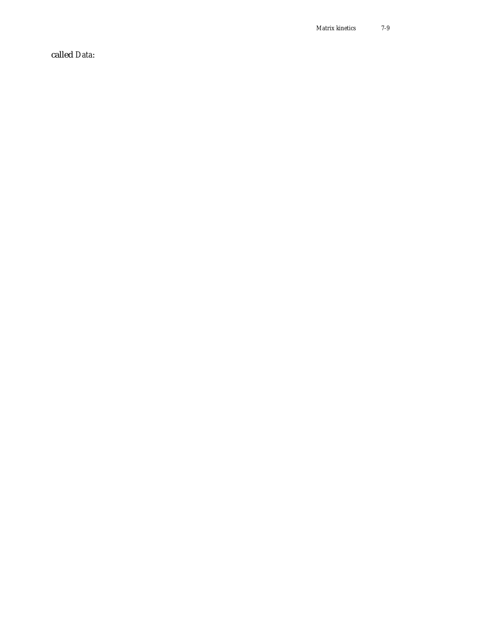*Matrix kinetics 7-9*

called *Data*: